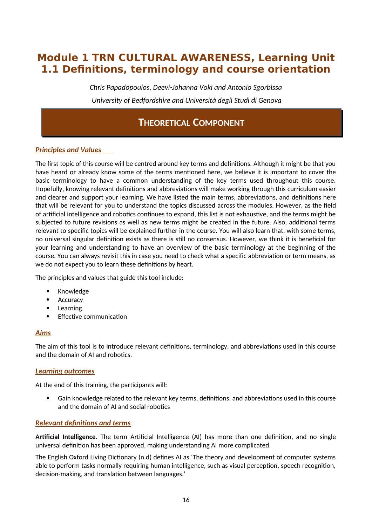# **Module 1 TRN CULTURAL AWARENESS, Learning Unit 1.1 Definitions, terminology and course orientation**

*Chris Papadopoulos, Deevi-Johanna Voki and Antonio Sgorbissa University of Bedfordshire and Università degli Studi di Genova*

# **THEORETICAL COMPONENT**

### *Principles and Values*

The first topic of this course will be centred around key terms and definitions. Although it might be that you have heard or already know some of the terms mentioned here, we believe it is important to cover the basic terminology to have a common understanding of the key terms used throughout this course. Hopefully, knowing relevant definitions and abbreviations will make working through this curriculum easier and clearer and support your learning. We have listed the main terms, abbreviations, and definitions here that will be relevant for you to understand the topics discussed across the modules. However, as the field of artificial intelligence and robotics continues to expand, this list is not exhaustive, and the terms might be subjected to future revisions as well as new terms might be created in the future. Also, additional terms relevant to specific topics will be explained further in the course. You will also learn that, with some terms, no universal singular definition exists as there is still no consensus. However, we think it is beneficial for your learning and understanding to have an overview of the basic terminology at the beginning of the course. You can always revisit this in case you need to check what a specific abbreviation or term means, as we do not expect you to learn these definitions by heart.

The principles and values that guide this tool include:

- Knowledge
- Accuracy
- Learning
- Effective communication

### *Aims*

The aim of this tool is to introduce relevant definitions, terminology, and abbreviations used in this course and the domain of AI and robotics.

### *Learning outcomes*

At the end of this training, the participants will:

 Gain knowledge related to the relevant key terms, definitions, and abbreviations used in this course and the domain of AI and social robotics

### *Relevant definitions and terms*

**Artificial Intelligence**. The term Artificial Intelligence (AI) has more than one definition, and no single universal definition has been approved, making understanding AI more complicated.

The English Oxford Living Dictionary (n.d) defines AI as 'The theory and development of computer systems able to perform tasks normally requiring human intelligence, such as visual perception, speech recognition, decision-making, and translation between languages.'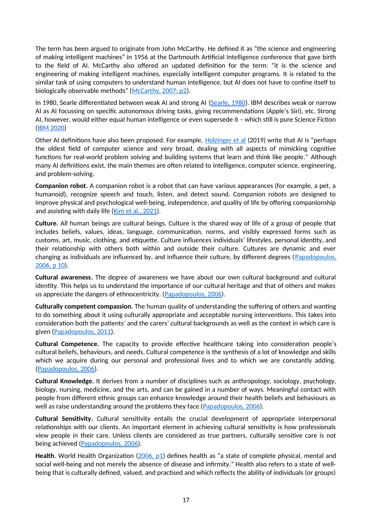The term has been argued to originate from John McCarthy. He defined it as "the science and engineering of making intelligent machines" in 1956 at the Dartmouth Artificial Intelligence conference that gave birth to the field of AI. McCarthy also offered an updated definition for the term: "it is the science and engineering of making intelligent machines, especially intelligent computer programs. It is related to the similar task of using computers to understand human intelligence, but AI does not have to confine itself to biologically observable methods" ([McCarthy, 2007; p2\)](http://jmc.stanford.edu/articles/whatisai/whatisai.pdf).

In 1980, Searle differentiated between weak AI and strong AI (Searle, 1980). IBM describes weak or narrow AI as AI focussing on specific autonomous driving tasks, giving recommendations (Apple's Siri), etc. Strong AI, however, would either equal human intelligence or even supersede it – which still is pure Science Fiction (IBM 2020)

Other AI definitions have also been proposed. For example, [Holzinger et al](https://wires.onlinelibrary.wiley.com/doi/epdf/10.1002/widm.1312) (2019) write that AI is "perhaps the oldest field of computer science and very broad, dealing with all aspects of mimicking cognitive functions for real-world problem solving and building systems that learn and think like people." Although many AI definitions exist, the main themes are often related to intelligence, computer science, engineering, and problem-solving.

**Companion robot.** A companion robot is a robot that can have various appearances (for example, a pet, a humanoid), recognize speech and touch, listen, and detect sound. Companion robots are designed to improve physical and psychological well-being, independence, and quality of life by offering companionship and assisting with daily life ([Kim et al., 2021](https://www.ncbi.nlm.nih.gov/pmc/articles/PMC8593639/)).

**Culture.** All human beings are cultural beings. Culture is the shared way of life of a group of people that includes beliefs, values, ideas, language, communication, norms, and visibly expressed forms such as customs, art, music, clothing, and etiquette. Culture influences individuals' lifestyles, personal identity, and their relationship with others both within and outside their culture. Cultures are dynamic and ever changing as individuals are influenced by, and influence their culture, by different degrees ([Papadopoulos,](https://books.google.co.uk/books?id=sipVCwAAQBAJ&printsec=frontcover&hl=et#v=onepage&q=compass&f=false) [2006, p 10\)](https://books.google.co.uk/books?id=sipVCwAAQBAJ&printsec=frontcover&hl=et#v=onepage&q=compass&f=false).

**Cultural awareness.** The degree of awareness we have about our own cultural background and cultural identity. This helps us to understand the importance of our cultural heritage and that of others and makes us appreciate the dangers of ethnocentricity. ([Papadopoulos, 2006\)](https://books.google.co.uk/books?id=sipVCwAAQBAJ&printsec=frontcover&hl=et#v=onepage&q=compass&f=false).

**Culturally competent compassion.** The human quality of understanding the suffering of others and wanting to do something about it using culturally appropriate and acceptable nursing interventions. This takes into consideration both the patients' and the carers' cultural backgrounds as well as the context in which care is given [\(Papadopoulos, 2011\)](https://www.researchgate.net/publication/303885059_Courage_Compassion_and_Cultural_Competence_The_Anna_Reynvaan_Lecture_2011?_iepl%5BgeneralViewId%5D=yhV21bGZnkjrK3PdAUFayhWJxbdyCA5u151W&_iepl%5Bcontexts%5D%5B0%5D=searchReact&_iepl%5BviewId%5D=w1qPR81SRTbBSJYMoXa3g4iPMlqOXLBJCVWj&_iepl%5BsearchType%5D=publication&_iepl%5Bdata%5D%5BcountLessEqual20%5D=1&_iepl%5Bdata%5D%5BinteractedWithPosition1%5D=1&_iepl%5Bdata%5D%5BwithoutEnrichment%5D=1&_iepl%5Bposition%5D=1&_iepl%5BrgKey%5D=PB%3A303885059&_iepl%5BtargetEntityId%5D=PB%3A303885059&_iepl%5BinteractionType%5D=publicationTitle).

**Cultural Competence.** The capacity to provide effective healthcare taking into consideration people's cultural beliefs, behaviours, and needs. Cultural competence is the synthesis of a lot of knowledge and skills which we acquire during our personal and professional lives and to which we are constantly adding. [\(Papadopoulos, 2006](https://books.google.co.uk/books?id=sipVCwAAQBAJ&printsec=frontcover&hl=et#v=onepage&q=compass&f=false)).

**Cultural Knowledge.** It derives from a number of disciplines such as anthropology, sociology, psychology, biology, nursing, medicine, and the arts, and can be gained in a number of ways. Meaningful contact with people from different ethnic groups can enhance knowledge around their health beliefs and behaviours as well as raise understanding around the problems they face ([Papadopoulos, 2006](https://books.google.co.uk/books?id=sipVCwAAQBAJ&printsec=frontcover&hl=et#v=onepage&q=compass&f=false)).

**Cultural Sensitivity.** Cultural sensitivity entails the crucial development of appropriate interpersonal relationships with our clients. An important element in achieving cultural sensitivity is how professionals view people in their care. Unless clients are considered as true partners, culturally sensitive care is not being achieved ([Papadopoulos, 2006\)](https://books.google.co.uk/books?id=sipVCwAAQBAJ&printsec=frontcover&hl=et#v=onepage&q=compass&f=false).

**Health**. World Health Organization ([2006, p1\)](https://apps.who.int/iris/handle/10665/151605) defines health as "a state of complete physical, mental and social well-being and not merely the absence of disease and infirmity." Health also refers to a state of wellbeing that is culturally defined, valued, and practised and which reflects the ability of individuals (or groups)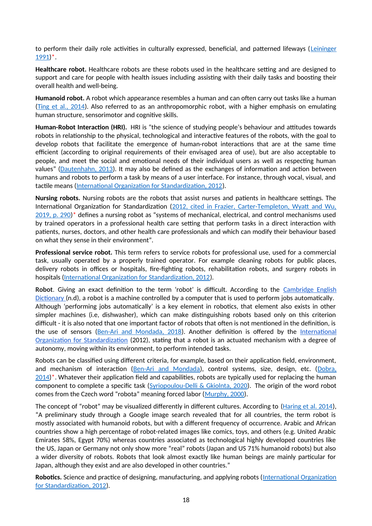to perform their daily role activities in culturally expressed, beneficial, and patterned lifeways ([Leininger](https://repository.library.georgetown.edu/handle/10822/842905) [1991](https://repository.library.georgetown.edu/handle/10822/842905))\*.

**Healthcare robot.** Healthcare robots are these robots used in the healthcare setting and are designed to support and care for people with health issues including assisting with their daily tasks and boosting their overall health and well-being.

**Humanoid robot.** A robot which appearance resembles a human and can often carry out tasks like a human [\(Ting et al., 2014\)](https://www.researchgate.net/publication/286073866_Humanoid_Robot_A_Review_of_the_Architecture_Applications_and_Future_Trend). Also referred to as an anthropomorphic robot, with a higher emphasis on emulating human structure, sensorimotor and cognitive skills.

**Human-Robot Interaction (HRI).** HRI is "the science of studying people's behaviour and attitudes towards robots in relationship to the physical, technological and interactive features of the robots, with the goal to develop robots that facilitate the emergence of human-robot interactions that are at the same time efficient (according to original requirements of their envisaged area of use), but are also acceptable to people, and meet the social and emotional needs of their individual users as well as respecting human values" [\(Dautenhahn, 2013\)](https://www.interaction-design.org/literature/book/the-encyclopedia-of-human-computer-interaction-2nd-ed/human-robot-interaction). It may also be defined as the exchanges of information and action between humans and robots to perform a task by means of a user interface. For instance, through vocal, visual, and tactile means [\(International Organization for Standardization, 2012](https://www.iso.org/obp/ui/#iso:std:iso:8373:ed-2:v1:en)).

**Nursing robots.** Nursing robots are the robots that assist nurses and patients in healthcare settings. The International Organization for Standardization ([2012, cited in Frazier, Carter-Templeton, Wyatt and Wu,](https://pubmed.ncbi.nlm.nih.gov/31135470/) [2019, p. 290](https://pubmed.ncbi.nlm.nih.gov/31135470/))\* defines a nursing robot as "systems of mechanical, electrical, and control mechanisms used by trained operators in a professional health care setting that perform tasks in a direct interaction with patients, nurses, doctors, and other health care professionals and which can modify their behaviour based on what they sense in their environment".

**Professional service robot.** This term refers to service robots for professional use, used for a commercial task, usually operated by a properly trained operator. For example cleaning robots for public places, delivery robots in offices or hospitals, fire-fighting robots, rehabilitation robots, and surgery robots in hospitals [\(International Organization for Standardization, 2012](https://www.iso.org/obp/ui/#iso:std:iso:8373:ed-2:v1:en)).

**Robot**. Giving an exact definition to the term 'robot' is difficult. According to the Cambridge English Dictionary (n.d), a robot is a machine controlled by a computer that is used to perform jobs automatically. Although 'performing jobs automatically' is a key element in robotics, that element also exists in other simpler machines (i.e, dishwasher), which can make distinguishing robots based only on this criterion difficult - it is also noted that one important factor of robots that often is not mentioned in the definition, is the use of sensors ([Ben-Ari and Mondada, 2018\)](https://www.researchgate.net/publication/320674637_Robots_and_Their_Applications). Another definition is offered by the International Organization for Standardization (2012), stating that a robot is an actuated mechanism with a degree of autonomy, moving within its environment, to perform intended tasks.

Robots can be classified using different criteria, for example, based on their application field, environment, and mechanism of interaction [\(Ben-Ari and Mondada](https://www.researchgate.net/publication/320674637_Robots_and_Their_Applications)), control systems, size, design, etc. [\(Dobra,](https://www.researchgate.net/publication/286652452_General_classification_of_robots_Size_criteria)  $2014$ <sup>\*</sup>. Whatever their application field and capabilities, robots are typically used for replacing the human component to complete a specific task [\(Syriopoulou-Delli & Gkiolnta, 2020](https://www.researchgate.net/publication/337886810_Review_of_Assistive_Technology_in_the_training_of_Children_with_Autism_Spectrum_Disorders)). The origin of the word robot comes from the Czech word "robota" meaning forced labor ([Murphy, 2000](http://index-of.es/z0ro-Repository-2/Cyber/02%20-%20Electronic%20Engineering/An%20Introduction%20to%20AI%20Robotics%20-%20Robin%20Murphy.pdf)).

The concept of "robot" may be visualized differently in different cultures. According to ([Haring et al. 2014\)](https://www.researchgate.net/publication/266416317_Cultural_Differences_in_Perception_and_Attitude_towards_Robots), "A preliminary study through a Google image search revealed that for all countries, the term robot is mostly associated with humanoid robots, but with a different frequency of occurrence. Arabic and African countries show a high percentage of robot-related images like comics, toys, and others (e.g. United Arabic Emirates 58%, Egypt 70%) whereas countries associated as technological highly developed countries like the US, Japan or Germany not only show more "real" robots (Japan and US 71% humanoid robots) but also a wider diversity of robots. Robots that look almost exactly like human beings are mainly particular for Japan, although they exist and are also developed in other countries."

**Robotics.** Science and practice of designing, manufacturing, and applying robots ([International Organization](https://www.iso.org/obp/ui/#iso:std:iso:8373:ed-2:v1:en) [for Standardization, 2012](https://www.iso.org/obp/ui/#iso:std:iso:8373:ed-2:v1:en)).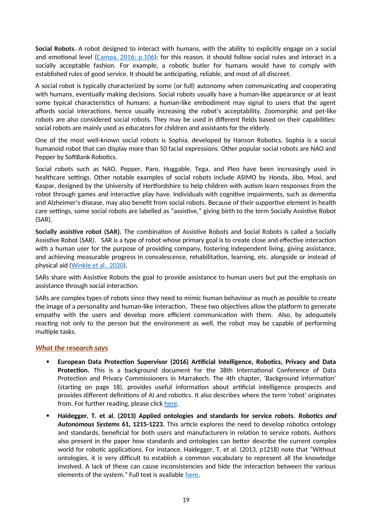**Social Robots.** A robot designed to interact with humans, with the ability to explicitly engage on a social and emotional level [\(Campa, 2016; p.106](https://www.researchgate.net/publication/308787576_The_Rise_of_Social_Robots_A_Review_of_the_Recent_Literature)): for this reason, it should follow social rules and interact in a socially acceptable fashion. For example, a robotic butler for humans would have to comply with established rules of good service. It should be anticipating, reliable, and most of all discreet.

A social robot is typically characterized by some (or full) autonomy when communicating and cooperating with humans, eventually making decisions. Social robots usually have a human-like appearance or at least some typical characteristics of humans: a human-like embodiment may signal to users that the agent affords social interactions, hence usually increasing the robot's acceptability. Zoomorphic and pet-like robots are also considered social robots. They may be used in different fields based on their capabilities: social robots are mainly used as educators for children and assistants for the elderly.

One of the most well-known social robots is Sophia, developed by Hanson Robotics. Sophia is a social humanoid robot that can display more than 50 facial expressions. Other popular social robots are NAO and Pepper by SoftBank Robotics.

Social robots such as NAO, Pepper, Paro, Huggable, Tega, and Pleo have been increasingly used in healthcare settings. Other notable examples of social robots include ASIMO by Honda, Jibo, Moxi, and Kaspar, designed by the University of Hertfordshire to help children with autism learn responses from the robot through games and interactive play have. Individuals with cognitive impairments, such as dementia and Alzheimer's disease, may also benefit from social robots. Because of their supportive element in health care settings, some social robots are labelled as "assistive," giving birth to the term Socially Assistive Robot (SAR).

**Socially assistive robot (SAR).** The combination of Assistive Robots and Social Robots is called a Socially Assistive Robot (SAR). SAR is a type of robot whose primary goal is to create close and effective interaction with a human user for the purpose of providing company, fostering independent living, giving assistance, and achieving measurable progress in convalescence, rehabilitation, learning, etc. alongside or instead of physical aid [\(Winkle et al., 2020\)](https://www.researchgate.net/publication/331576322_Mutual_Shaping_in_the_Design_of_Socially_Assistive_Robots_A_Case_Study_on_Social_Robots_for_Therapy).

SARs share with Assistive Robots the goal to provide assistance to human users but put the emphasis on assistance through social interaction.

SARs are complex types of robots since they need to mimic human behaviour as much as possible to create the image of a personality and human-like interaction. These two objectives allow the platform to generate empathy with the users and develop more efficient communication with them. Also, by adequately reacting not only to the person but the environment as well, the robot may be capable of performing multiple tasks.

### *What the research says*

- **European Data Protection Supervisor (2016) Artificial Intelligence, Robotics, Privacy and Data Protection.** This is a background document for the 38th International Conference of Data Protection and Privacy Commissioners in Marrakech. The 4th chapter, 'Background information' (starting on page 18), provides useful information about artificial intelligence prospects and provides different definitions of AI and robotics. It also describes where the term 'robot' originates from. For further reading, please click [here.](https://edps.europa.eu/sites/default/files/publication/16-10-19_marrakesh_ai_paper_en.pdf)
- **Haidegger, T. et al. (2013) Applied ontologies and standards for service robots.** *Robotics and Autonomous Systems* **61, 1215-1223.** This article explores the need to develop robotics ontology and standards, beneficial for both users and manufacturers in relation to service robots. Authors also present in the paper how standards and ontologies can better describe the current complex world for robotic applications. For instance, Haidegger, T. et al. (2013, p1218) note that "Without ontologies, it is very difficult to establish a common vocabulary to represent all the knowledge involved. A lack of these can cause inconsistencies and hide the interaction between the various elements of the system." Full text is available [here](https://www.academia.edu/11603541/Applied_ontologies_and_standards_for_service_robots).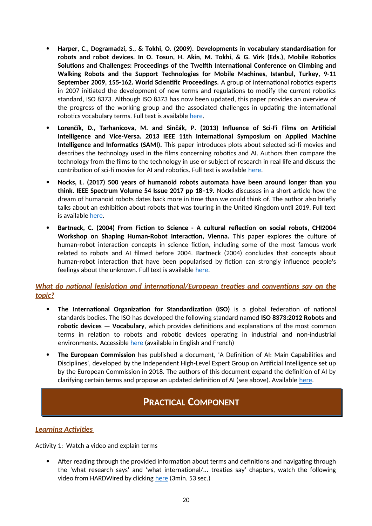- **Harper, C., Dogramadzi, S., & Tokhi, O. (2009). Developments in vocabulary standardisation for robots and robot devices. In O. Tosun, H. Akin, M. Tokhi, & G. Virk (Eds.), Mobile Robotics Solutions and Challenges: Proceedings of the Twelfth International Conference on Climbing and Walking Robots and the Support Technologies for Mobile Machines, Istanbul, Turkey, 9-11 September 2009, 155-162. World Scientific Proceedings.** A group of international robotics experts in 2007 initiated the development of new terms and regulations to modify the current robotics standard, ISO 8373. Although ISO 8373 has now been updated, this paper provides an overview of the progress of the working group and the associated challenges in updating the international robotics vocabulary terms. Full text is available [here](https://uwe-repository.worktribe.com/output/992555/developments-in-vocabulary-standardisation-for-robots-and-robot-devices).
- **Lorenčík, D., Tarhanicova, M. and Sinčák, P. (2013) Influence of Sci-Fi Films on Artificial Intelligence and Vice-Versa. 2013 IEEE 11th International Symposium on Applied Machine Intelligence and Informatics (SAMI).** This paper introduces plots about selected sci-fi movies and describes the technology used in the films concerning robotics and AI. Authors then compare the technology from the films to the technology in use or subject of research in real life and discuss the contribution of sci-fi movies for AI and robotics. Full text is available [here](https://www.academia.edu/3055968/Influence_of_Sci-Fi_Films_on_Artificial_Intelligence_and_Vice-Versa?auto=download).
- **Nocks, L. (2017) 500 years of humanoid robots automata have been around longer than you think. IEEE Spectrum Volume 54 Issue 2017 pp 18–19.** Nocks discusses in a short article how the dream of humanoid robots dates back more in time than we could think of. The author also briefly talks about an exhibition about robots that was touring in the United Kingdom until 2019. Full text is available [here](https://ieeexplore.ieee.org/stamp/stamp.jsp?tp=&arnumber=8048830).
- **Bartneck, C. (2004) From Fiction to Science A cultural reflection on social robots, CHI2004 Workshop on Shaping Human-Robot Interaction, Vienna.** This paper explores the culture of human-robot interaction concepts in science fiction, including some of the most famous work related to robots and AI filmed before 2004. Bartneck (2004) concludes that concepts about human-robot interaction that have been popularised by fiction can strongly influence people's feelings about the unknown. Full text is available [here](https://www.researchgate.net/publication/200508207_From_Fiction_to_Science_-_A_cultural_reflection_on_social_robots).

### *What do national legislation and international/European treaties and conventions say on the topic?*

- **The International Organization for Standardization (ISO)** is a global federation of national standards bodies. The ISO has developed the following standard named **ISO 8373:2012 Robots and robotic devices — Vocabulary**, which provides definitions and explanations of the most common terms in relation to robots and robotic devices operating in industrial and non-industrial environments. Accessible [here](https://www.iso.org/obp/ui/#iso:std:iso:8373:ed-2:v1:en) (available in English and French)
- **The European Commission** has published a document, 'A Definition of AI: Main Capabilities and Disciplines', developed by the Independent High-Level Expert Group on Artificial Intelligence set up by the European Commission in 2018. The authors of this document expand the definition of AI by clarifying certain terms and propose an updated definition of AI (see above). Available [here.](https://digital-strategy.ec.europa.eu/en/library/definition-artificial-intelligence-main-capabilities-and-scientific-disciplines)

# **PRACTICAL COMPONENT**

### *Learning Activities*

Activity 1: Watch a video and explain terms

 After reading through the provided information about terms and definitions and navigating through the 'what research says' and 'what international/... treaties say' chapters, watch the following video from HARDWired by clicking [here](https://www.wired.com/video/watch/hardwired-so-what-is-a-robot-really) (3min. 53 sec.)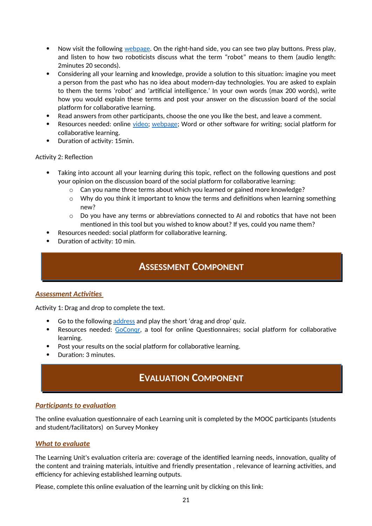- Now visit the following [webpage](https://robots.ieee.org/learn/what-is-a-robot/). On the right-hand side, you can see two play buttons. Press play, and listen to how two roboticists discuss what the term "robot" means to them (audio length: 2minutes 20 seconds).
- Considering all your learning and knowledge, provide a solution to this situation: imagine you meet a person from the past who has no idea about modern-day technologies. You are asked to explain to them the terms 'robot' and 'artificial intelligence.' In your own words (max 200 words), write how you would explain these terms and post your answer on the discussion board of the social platform for collaborative learning.
- Read answers from other participants, choose the one you like the best, and leave a comment.
- Resources needed: online [video](https://www.wired.com/video/watch/hardwired-so-what-is-a-robot-really); [webpage](https://robots.ieee.org/learn/what-is-a-robot/); Word or other software for writing; social platform for collaborative learning.
- Duration of activity: 15min.

#### Activity 2: Reflection

- Taking into account all your learning during this topic, reflect on the following questions and post your opinion on the discussion board of the social platform for collaborative learning:
	- o Can you name three terms about which you learned or gained more knowledge?
	- $\circ$  Why do you think it important to know the terms and definitions when learning something new?
	- $\circ$  Do you have any terms or abbreviations connected to AI and robotics that have not been mentioned in this tool but you wished to know about? If yes, could you name them?
- Resources needed: social platform for collaborative learning.
- Duration of activity: 10 min.

### **ASSESSMENT COMPONENT**

### *Assessment Activities*

Activity 1: Drag and drop to complete the text.

- Go to the following [address](https://www.goconqr.com/en-US/quiz/36797714/iene-10-learning-unit-1-1-assessment) and play the short 'drag and drop' quiz.
- Resources needed: GoCongr, a tool for online Questionnaires; social platform for collaborative learning.
- Post your results on the social platform for collaborative learning.
- Duration: 3 minutes.

# **EVALUATION COMPONENT**

### *Participants to evaluation*

The online evaluation questionnaire of each Learning unit is completed by the MOOC participants (students and student/facilitators) on Survey Monkey

#### *What to evaluate*

The Learning Unit's evaluation criteria are: coverage of the identified learning needs, innovation, quality of the content and training materials, intuitive and friendly presentation , relevance of learning activities, and efficiency for achieving established learning outputs.

Please, complete this online evaluation of the learning unit by clicking on this link: